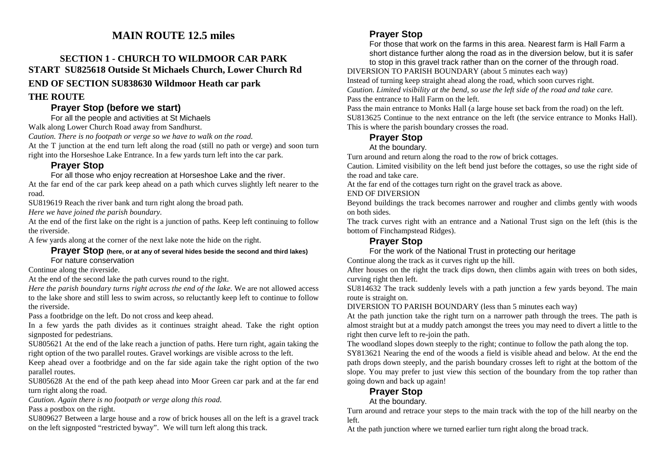## **MAIN ROUTE 12.5 miles**

### **SECTION 1 - CHURCH TO WILDMOOR CAR PARK START SU825618 Outside St Michaels Church, Lower Church Rd END OF SECTION SU838630 Wildmoor Heath car park**

#### **THE ROUTE**

#### **Prayer Stop (before we start)**

For all the people and activities at St Michaels

Walk along Lower Church Road away from Sandhurst.

*Caution. There is no footpath or verge so we have to walk on the road.* 

 At the T junction at the end turn left along the road (still no path or verge) and soon turn right into the Horseshoe Lake Entrance. In a few yards turn left into the car park.

### **Prayer Stop**

For all those who enjoy recreation at Horseshoe Lake and the river.

 At the far end of the car park keep ahead on a path which curves slightly left nearer to the road.

SU819619 Reach the river bank and turn right along the broad path.

*Here we have joined the parish boundary.* 

 At the end of the first lake on the right is a junction of paths. Keep left continuing to follow the riverside.

A few yards along at the corner of the next lake note the hide on the right.

#### **Prayer Stop (here, or at any of several hides beside the second and third lakes)**For nature conservation

Continue along the riverside.

At the end of the second lake the path curves round to the right.

 *Here the parish boundary turns right across the end of the lake.* We are not allowed access to the lake shore and still less to swim across, so reluctantly keep left to continue to follow the riverside.

Pass a footbridge on the left. Do not cross and keep ahead.

 In a few yards the path divides as it continues straight ahead. Take the right option signposted for pedestrians.

 SU805621 At the end of the lake reach a junction of paths. Here turn right, again taking the right option of the two parallel routes. Gravel workings are visible across to the left.

 Keep ahead over a footbridge and on the far side again take the right option of the two parallel routes.

 SU805628 At the end of the path keep ahead into Moor Green car park and at the far end turn right along the road.

*Caution. Again there is no footpath or verge along this road.* 

Pass a postbox on the right.

 SU809627 Between a large house and a row of brick houses all on the left is a gravel track on the left signposted "restricted byway". We will turn left along this track.

### **Prayer Stop**

 For those that work on the farms in this area. Nearest farm is Hall Farm a short distance further along the road as in the diversion below, but it is safer

to stop in this gravel track rather than on the corner of the through road. DIVERSION TO PARISH BOUNDARY (about 5 minutes each way)

Instead of turning keep straight ahead along the road, which soon curves right.

 *Caution. Limited visibility at the bend, so use the left side of the road and take care.* Pass the entrance to Hall Farm on the left.

Pass the main entrance to Monks Hall (a large house set back from the road) on the left. SU813625 Continue to the next entrance on the left (the service entrance to Monks Hall). This is where the parish boundary crosses the road.

### **Prayer Stop**

At the boundary.

Turn around and return along the road to the row of brick cottages.

 Caution. Limited visibility on the left bend just before the cottages, so use the right side of the road and take care.

At the far end of the cottages turn right on the gravel track as above.

END OF DIVERSION

 Beyond buildings the track becomes narrower and rougher and climbs gently with woods on both sides.

The track curves right with an entrance and a National Trust sign on the left (this is the bottom of Finchampstead Ridges).

### **Prayer Stop**

For the work of the National Trust in protecting our heritage

Continue along the track as it curves right up the hill.

 After houses on the right the track dips down, then climbs again with trees on both sides, curving right then left.

 SU814632 The track suddenly levels with a path junction a few yards beyond. The main route is straight on.

DIVERSION TO PARISH BOUNDARY (less than 5 minutes each way)

 At the path junction take the right turn on a narrower path through the trees. The path is almost straight but at a muddy patch amongst the trees you may need to divert a little to the right then curve left to re-join the path.

The woodland slopes down steeply to the right; continue to follow the path along the top.

 SY813621 Nearing the end of the woods a field is visible ahead and below. At the end the path drops down steeply, and the parish boundary crosses left to right at the bottom of the slope. You may prefer to just view this section of the boundary from the top rather than going down and back up again!

### **Prayer Stop**

At the boundary.

 Turn around and retrace your steps to the main track with the top of the hill nearby on the left.

At the path junction where we turned earlier turn right along the broad track.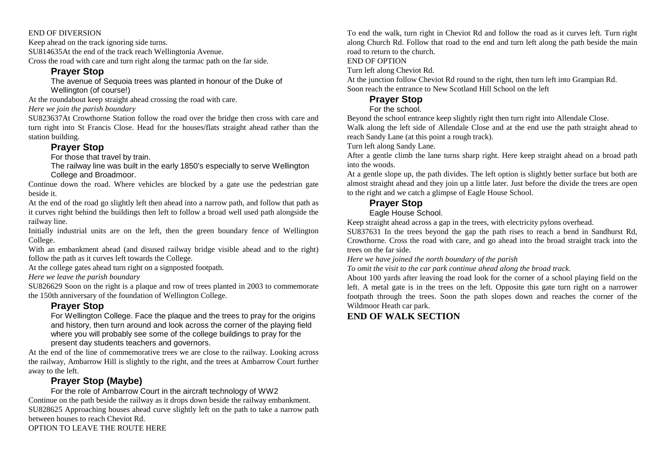#### END OF DIVERSION

Keep ahead on the track ignoring side turns.

SU814635At the end of the track reach Wellingtonia Avenue.

Cross the road with care and turn right along the tarmac path on the far side.

#### **Prayer Stop**

 The avenue of Sequoia trees was planted in honour of the Duke of Wellington (of course!)

At the roundabout keep straight ahead crossing the road with care.

*Here we join the parish boundary* 

SU823637At Crowthorne Station follow the road over the bridge then cross with care and turn right into St Francis Close. Head for the houses/flats straight ahead rather than the station building.

### **Prayer Stop**

For those that travel by train.

 The railway line was built in the early 1850's especially to serve Wellington College and Broadmoor.

 Continue down the road. Where vehicles are blocked by a gate use the pedestrian gate beside it.

At the end of the road go slightly left then ahead into a narrow path, and follow that path as it curves right behind the buildings then left to follow a broad well used path alongside the railway line.

Initially industrial units are on the left, then the green boundary fence of Wellington College.

 With an embankment ahead (and disused railway bridge visible ahead and to the right) follow the path as it curves left towards the College.

At the college gates ahead turn right on a signposted footpath.

*Here we leave the parish boundary* 

 SU826629 Soon on the right is a plaque and row of trees planted in 2003 to commemorate the 150th anniversary of the foundation of Wellington College.

### **Prayer Stop**

 For Wellington College. Face the plaque and the trees to pray for the origins and history, then turn around and look across the corner of the playing field where you will probably see some of the college buildings to pray for the present day students teachers and governors.

 At the end of the line of commemorative trees we are close to the railway. Looking across the railway, Ambarrow Hill is slightly to the right, and the trees at Ambarrow Court further away to the left.

### **Prayer Stop (Maybe)**

 For the role of Ambarrow Court in the aircraft technology of WW2 Continue on the path beside the railway as it drops down beside the railway embankment.

 SU828625 Approaching houses ahead curve slightly left on the path to take a narrow path between houses to reach Cheviot Rd.

OPTION TO LEAVE THE ROUTE HERE

To end the walk, turn right in Cheviot Rd and follow the road as it curves left. Turn right along Church Rd. Follow that road to the end and turn left along the path beside the main road to return to the church.

#### END OF OPTION

Turn left along Cheviot Rd.

 At the junction follow Cheviot Rd round to the right, then turn left into Grampian Rd. Soon reach the entrance to New Scotland Hill School on the left

#### **Prayer Stop**

#### For the school.

Beyond the school entrance keep slightly right then turn right into Allendale Close.

 Walk along the left side of Allendale Close and at the end use the path straight ahead to reach Sandy Lane (at this point a rough track).

Turn left along Sandy Lane.

 After a gentle climb the lane turns sharp right. Here keep straight ahead on a broad path into the woods.

At a gentle slope up, the path divides. The left option is slightly better surface but both are almost straight ahead and they join up a little later. Just before the divide the trees are open to the right and we catch a glimpse of Eagle House School.

# **Prayer Stop**

Eagle House School.

Keep straight ahead across a gap in the trees, with electricity pylons overhead.

 SU837631 In the trees beyond the gap the path rises to reach a bend in Sandhurst Rd, Crowthorne. Cross the road with care, and go ahead into the broad straight track into the trees on the far side.

*Here we have joined the north boundary of the parish* 

*To omit the visit to the car park continue ahead along the broad track.* 

 About 100 yards after leaving the road look for the corner of a school playing field on the left. A metal gate is in the trees on the left. Opposite this gate turn right on a narrower footpath through the trees. Soon the path slopes down and reaches the corner of the Wildmoor Heath car park.

## **END OF WALK SECTION**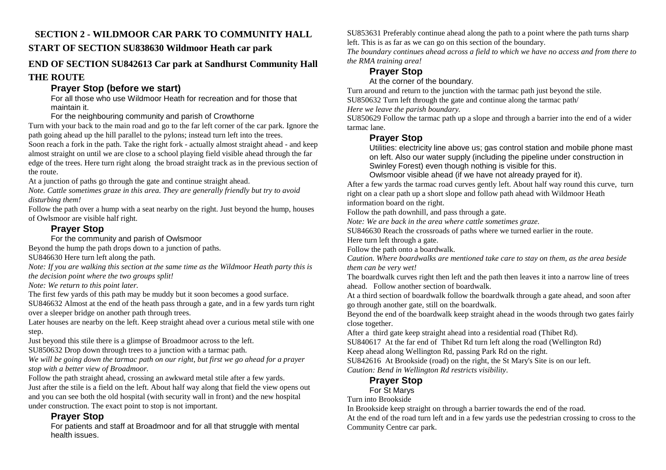# **SECTION 2 - WILDMOOR CAR PARK TO COMMUNITY HALL**

### **START OF SECTION SU838630 Wildmoor Heath car park**

### **END OF SECTION SU842613 Car park at Sandhurst Community Hall THE ROUTE**

## **Prayer Stop (before we start)**

 For all those who use Wildmoor Heath for recreation and for those that maintain it.

For the neighbouring community and parish of Crowthorne

 Turn with your back to the main road and go to the far left corner of the car park. Ignore the path going ahead up the hill parallel to the pylons; instead turn left into the trees.

 Soon reach a fork in the path. Take the right fork - actually almost straight ahead - and keep almost straight on until we are close to a school playing field visible ahead through the far edge of the trees. Here turn right along the broad straight track as in the previous section of the route.

At a junction of paths go through the gate and continue straight ahead.

 *Note. Cattle sometimes graze in this area. They are generally friendly but try to avoid disturbing them!* 

 Follow the path over a hump with a seat nearby on the right. Just beyond the hump, houses of Owlsmoor are visible half right.

### **Prayer Stop**

For the community and parish of Owlsmoor

Beyond the hump the path drops down to a junction of paths.

SU846630 Here turn left along the path.

 *Note: If you are walking this section at the same time as the Wildmoor Heath party this is the decision point where the two groups split!* 

*Note: We return to this point later.* 

The first few yards of this path may be muddy but it soon becomes a good surface.

 SU846632 Almost at the end of the heath pass through a gate, and in a few yards turn right over a sleeper bridge on another path through trees.

 Later houses are nearby on the left. Keep straight ahead over a curious metal stile with one step.

Just beyond this stile there is a glimpse of Broadmoor across to the left.

SU850632 Drop down through trees to a junction with a tarmac path.

*We will be going down the tarmac path on our right, but first we go ahead for a prayer stop with a better view of Broadmoor.* 

Follow the path straight ahead, crossing an awkward metal stile after a few yards. Just after the stile is a field on the left. About half way along that field the view opens out and you can see both the old hospital (with security wall in front) and the new hospital under construction. The exact point to stop is not important.

## **Prayer Stop**

 For patients and staff at Broadmoor and for all that struggle with mental health issues.

SU853631 Preferably continue ahead along the path to a point where the path turns sharp left. This is as far as we can go on this section of the boundary.

*The boundary continues ahead across a field to which we have no access and from there to the RMA training area!* 

# **Prayer Stop**

At the corner of the boundary.

 Turn around and return to the junction with the tarmac path just beyond the stile. SU850632 Turn left through the gate and continue along the tarmac path/

*Here we leave the parish boundary.* 

 SU850629 Follow the tarmac path up a slope and through a barrier into the end of a wider tarmac lane.

### **Prayer Stop**

 Utilities: electricity line above us; gas control station and mobile phone mast on left. Also our water supply (including the pipeline under construction in Swinley Forest) even though nothing is visible for this.

Owlsmoor visible ahead (if we have not already prayed for it).

 After a few yards the tarmac road curves gently left. About half way round this curve, turn right on a clear path up a short slope and follow path ahead with Wildmoor Heath information board on the right.

Follow the path downhill, and pass through a gate.

*Note: We are back in the area where cattle sometimes graze.* 

SU846630 Reach the crossroads of paths where we turned earlier in the route.

Here turn left through a gate.

Follow the path onto a boardwalk.

 *Caution. Where boardwalks are mentioned take care to stay on them, as the area beside them can be very wet!* 

The boardwalk curves right then left and the path then leaves it into a narrow line of trees ahead. Follow another section of boardwalk.

At a third section of boardwalk follow the boardwalk through a gate ahead, and soon after go through another gate, still on the boardwalk.

 Beyond the end of the boardwalk keep straight ahead in the woods through two gates fairly close together.

After a third gate keep straight ahead into a residential road (Thibet Rd).

SU840617 At the far end of Thibet Rd turn left along the road (Wellington Rd)

Keep ahead along Wellington Rd, passing Park Rd on the right.

 SU842616 At Brookside (road) on the right, the St Mary's Site is on our left. *Caution: Bend in Wellington Rd restricts visibility*.

## **Prayer Stop**

For St Marys

Turn into Brookside

In Brookside keep straight on through a barrier towards the end of the road.

 At the end of the road turn left and in a few yards use the pedestrian crossing to cross to the Community Centre car park.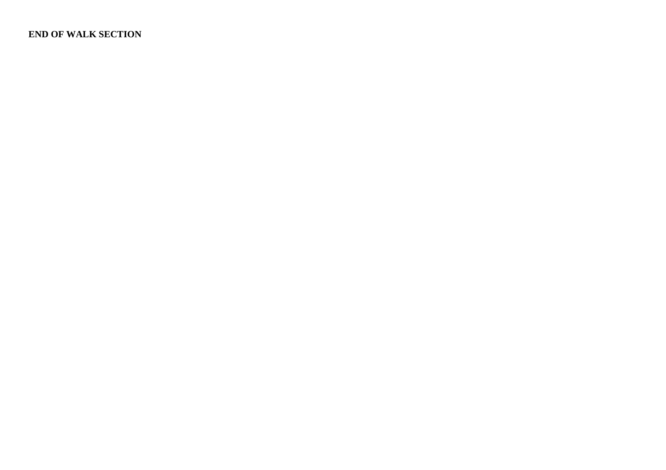### **END OF WALK SECTION**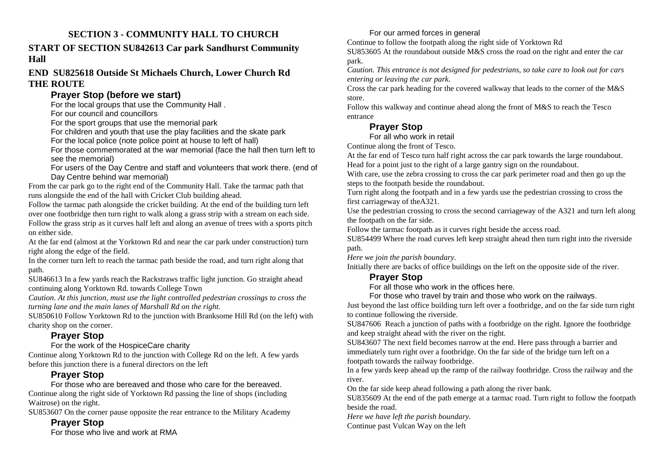### **SECTION 3 - COMMUNITY HALL TO CHURCH**

### **START OF SECTION SU842613 Car park Sandhurst Community Hall**

### **END SU825618 Outside St Michaels Church, Lower Church Rd THE ROUTE**

## **Prayer Stop (before we start)**

For the local groups that use the Community Hall .

For our council and councillors

For the sport groups that use the memorial park

For children and youth that use the play facilities and the skate park

For the local police (note police point at house to left of hall)

 For those commemorated at the war memorial (face the hall then turn left to see the memorial)

 For users of the Day Centre and staff and volunteers that work there. (end of Day Centre behind war memorial)

 From the car park go to the right end of the Community Hall. Take the tarmac path that runs alongside the end of the hall with Cricket Club building ahead.

 Follow the tarmac path alongside the cricket building. At the end of the building turn left over one footbridge then turn right to walk along a grass strip with a stream on each side. Follow the grass strip as it curves half left and along an avenue of trees with a sports pitch on either side.

At the far end (almost at the Yorktown Rd and near the car park under construction) turn right along the edge of the field.

 In the corner turn left to reach the tarmac path beside the road, and turn right along that path.

 SU846613 In a few yards reach the Rackstraws traffic light junction. Go straight ahead continuing along Yorktown Rd. towards College Town

*Caution. At this junction, must use the light controlled pedestrian crossings to cross the turning lane and the main lanes of Marshall Rd on the right.* 

 SU850610 Follow Yorktown Rd to the junction with Branksome Hill Rd (on the left) with charity shop on the corner.

# **Prayer Stop**

For the work of the HospiceCare charity

 Continue along Yorktown Rd to the junction with College Rd on the left. A few yards before this junction there is a funeral directors on the left

# **Prayer Stop**

 For those who are bereaved and those who care for the bereaved. Continue along the right side of Yorktown Rd passing the line of shops (including Waitrose) on the right.

SU853607 On the corner pause opposite the rear entrance to the Military Academy

# **Prayer Stop**

For those who live and work at RMA

### For our armed forces in general

Continue to follow the footpath along the right side of Yorktown Rd

 SU853605 At the roundabout outside M&S cross the road on the right and enter the car park.

*Caution. This entrance is not designed for pedestrians, so take care to look out for cars entering or leaving the car park.* 

 Cross the car park heading for the covered walkway that leads to the corner of the M&S store.

Follow this walkway and continue ahead along the front of M&S to reach the Tesco entrance

# **Prayer Stop**

For all who work in retail

Continue along the front of Tesco.

At the far end of Tesco turn half right across the car park towards the large roundabout. Head for a point just to the right of a large gantry sign on the roundabout.

 With care, use the zebra crossing to cross the car park perimeter road and then go up the steps to the footpath beside the roundabout.

Turn right along the footpath and in a few yards use the pedestrian crossing to cross the first carriageway of theA321.

Use the pedestrian crossing to cross the second carriageway of the A321 and turn left along the footpath on the far side.

Follow the tarmac footpath as it curves right beside the access road.

 SU854499 Where the road curves left keep straight ahead then turn right into the riverside path.

*Here we join the parish boundary.* 

Initially there are backs of office buildings on the left on the opposite side of the river.

# **Prayer Stop**

For all those who work in the offices here.

For those who travel by train and those who work on the railways.

 Just beyond the last office building turn left over a footbridge, and on the far side turn right to continue following the riverside.

 SU847606 Reach a junction of paths with a footbridge on the right. Ignore the footbridge and keep straight ahead with the river on the right.

SU843607 The next field becomes narrow at the end. Here pass through a barrier and immediately turn right over a footbridge. On the far side of the bridge turn left on a footpath towards the railway footbridge.

 In a few yards keep ahead up the ramp of the railway footbridge. Cross the railway and the river.

On the far side keep ahead following a path along the river bank.

 SU835609 At the end of the path emerge at a tarmac road. Turn right to follow the footpath beside the road.

*Here we have left the parish boundary.* 

Continue past Vulcan Way on the left